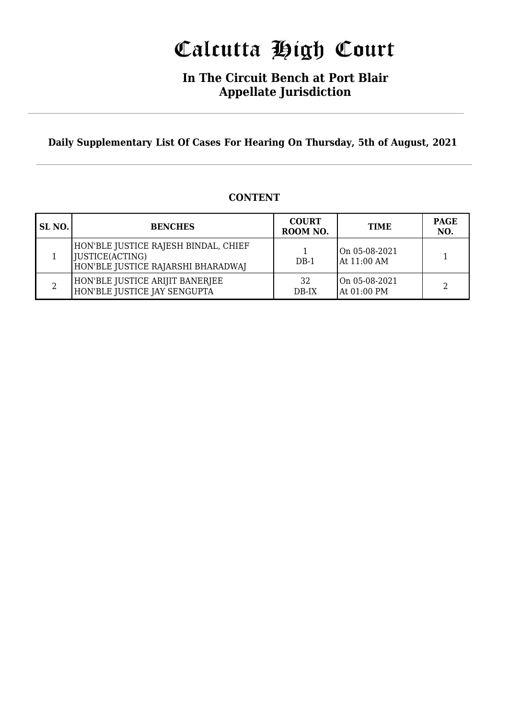# Calcutta High Court

### **In The Circuit Bench at Port Blair Appellate Jurisdiction**

**Daily Supplementary List Of Cases For Hearing On Thursday, 5th of August, 2021**

#### **SL NO. BENCHES COURT ROOM NO. TIME PAGE NO.** 1 HON'BLE JUSTICE RAJESH BINDAL, CHIEF JUSTICE(ACTING) HON'BLE JUSTICE RAJARSHI BHARADWAJ 1 DB-1 On 05-08-2021  $\left\{\n \begin{array}{c}\n \text{On 03-08-2021} \\
\text{At 11:00 AM}\n \end{array}\n \right.\n \left.\n \begin{array}{c}\n \text{1}\n \end{array}\n \right\}$ 2 HON'BLE JUSTICE ARIJIT BANERJEE HON'BLE JUSTICE JAY SENGUPTA 32 DB-IX On 05-08-2021  $\left\{\n \begin{array}{c}\n \text{On 03-08-2021} \\
\text{At 01:00 PM}\n \end{array}\n \right.\n \left.\n \begin{array}{c}\n \text{2}\n \end{array}\n \right\}$

### **CONTENT**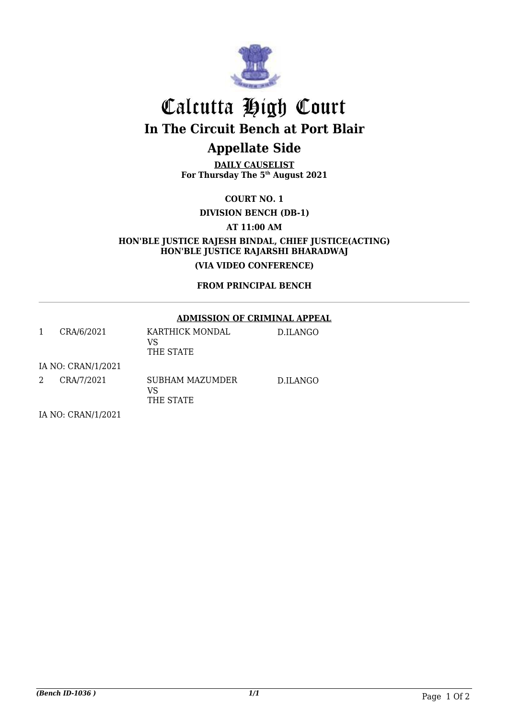

## Calcutta High Court **In The Circuit Bench at Port Blair**

### **Appellate Side**

**DAILY CAUSELIST For Thursday The 5th August 2021**

**COURT NO. 1**

**DIVISION BENCH (DB-1)** 

**AT 11:00 AM**

**HON'BLE JUSTICE RAJESH BINDAL, CHIEF JUSTICE(ACTING) HON'BLE JUSTICE RAJARSHI BHARADWAJ**

**(VIA VIDEO CONFERENCE)**

**FROM PRINCIPAL BENCH**

#### **ADMISSION OF CRIMINAL APPEAL**

|                    | CRA/6/2021 | KARTHICK MONDAL<br>VS<br>THE STATE | D.ILANGO |  |  |
|--------------------|------------|------------------------------------|----------|--|--|
| IA NO: CRAN/1/2021 |            |                                    |          |  |  |
| 2                  | CRA/7/2021 | SUBHAM MAZUMDER<br>VS<br>THE STATE | D.ILANGO |  |  |

IA NO: CRAN/1/2021